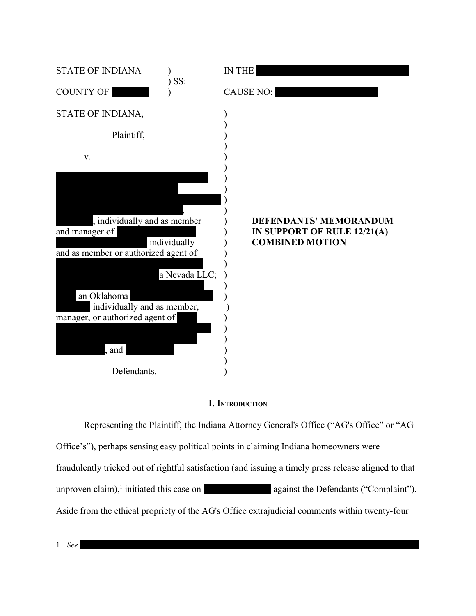

### **I. INTRODUCTION**

<span id="page-0-0"></span>Representing the Plaintiff, the Indiana Attorney General's Office ("AG's Office" or "AG Office's"), perhaps sensing easy political points in claiming Indiana homeowners were fraudulently tricked out of rightful satisfaction (and issuing a timely press release aligned to that unproven claim),<sup>[1](#page-0-0)</sup> initiated this case on  $\qquad \qquad$  against the Defendants ("Complaint"). Aside from the ethical propriety of the AG's Office extrajudicial comments within twenty-four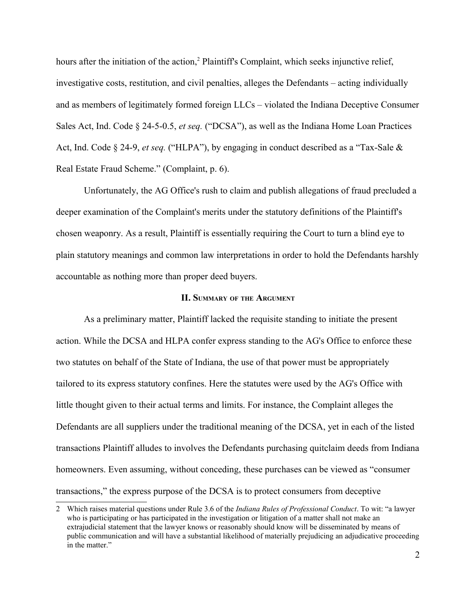hours after the initiation of the action,<sup>[2](#page-1-0)</sup> Plaintiff's Complaint, which seeks injunctive relief, investigative costs, restitution, and civil penalties, alleges the Defendants – acting individually and as members of legitimately formed foreign LLCs – violated the Indiana Deceptive Consumer Sales Act, Ind. Code § 24-5-0.5, *et seq.* ("DCSA"), as well as the Indiana Home Loan Practices Act, Ind. Code § 24-9, *et seq.* ("HLPA"), by engaging in conduct described as a "Tax-Sale & Real Estate Fraud Scheme." (Complaint, p. 6).

Unfortunately, the AG Office's rush to claim and publish allegations of fraud precluded a deeper examination of the Complaint's merits under the statutory definitions of the Plaintiff's chosen weaponry. As a result, Plaintiff is essentially requiring the Court to turn a blind eye to plain statutory meanings and common law interpretations in order to hold the Defendants harshly accountable as nothing more than proper deed buyers.

#### **II. SUMMARY OF THE ARGUMENT**

As a preliminary matter, Plaintiff lacked the requisite standing to initiate the present action. While the DCSA and HLPA confer express standing to the AG's Office to enforce these two statutes on behalf of the State of Indiana, the use of that power must be appropriately tailored to its express statutory confines. Here the statutes were used by the AG's Office with little thought given to their actual terms and limits. For instance, the Complaint alleges the Defendants are all suppliers under the traditional meaning of the DCSA, yet in each of the listed transactions Plaintiff alludes to involves the Defendants purchasing quitclaim deeds from Indiana homeowners. Even assuming, without conceding, these purchases can be viewed as "consumer transactions," the express purpose of the DCSA is to protect consumers from deceptive

<span id="page-1-0"></span><sup>2</sup> Which raises material questions under Rule 3.6 of the *Indiana Rules of Professional Conduct*. To wit: "a lawyer who is participating or has participated in the investigation or litigation of a matter shall not make an extrajudicial statement that the lawyer knows or reasonably should know will be disseminated by means of public communication and will have a substantial likelihood of materially prejudicing an adjudicative proceeding in the matter."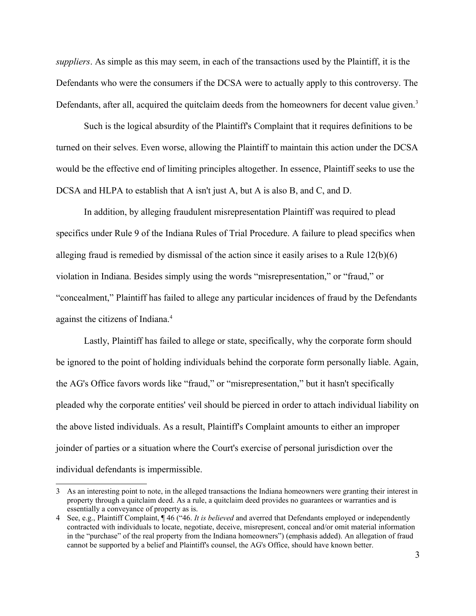*suppliers*. As simple as this may seem, in each of the transactions used by the Plaintiff, it is the Defendants who were the consumers if the DCSA were to actually apply to this controversy. The Defendants, after all, acquired the quitclaim deeds from the homeowners for decent value given.<sup>[3](#page-2-0)</sup>

Such is the logical absurdity of the Plaintiff's Complaint that it requires definitions to be turned on their selves. Even worse, allowing the Plaintiff to maintain this action under the DCSA would be the effective end of limiting principles altogether. In essence, Plaintiff seeks to use the DCSA and HLPA to establish that A isn't just A, but A is also B, and C, and D.

In addition, by alleging fraudulent misrepresentation Plaintiff was required to plead specifics under Rule 9 of the Indiana Rules of Trial Procedure. A failure to plead specifics when alleging fraud is remedied by dismissal of the action since it easily arises to a Rule 12(b)(6) violation in Indiana. Besides simply using the words "misrepresentation," or "fraud," or "concealment," Plaintiff has failed to allege any particular incidences of fraud by the Defendants against the citizens of Indiana.[4](#page-2-1)

Lastly, Plaintiff has failed to allege or state, specifically, why the corporate form should be ignored to the point of holding individuals behind the corporate form personally liable. Again, the AG's Office favors words like "fraud," or "misrepresentation," but it hasn't specifically pleaded why the corporate entities' veil should be pierced in order to attach individual liability on the above listed individuals. As a result, Plaintiff's Complaint amounts to either an improper joinder of parties or a situation where the Court's exercise of personal jurisdiction over the individual defendants is impermissible.

<span id="page-2-0"></span><sup>3</sup> As an interesting point to note, in the alleged transactions the Indiana homeowners were granting their interest in property through a quitclaim deed. As a rule, a quitclaim deed provides no guarantees or warranties and is essentially a conveyance of property as is.

<span id="page-2-1"></span><sup>4</sup> See, e.g., Plaintiff Complaint, ¶ 46 ("46. *It is believed* and averred that Defendants employed or independently contracted with individuals to locate, negotiate, deceive, misrepresent, conceal and/or omit material information in the "purchase" of the real property from the Indiana homeowners") (emphasis added). An allegation of fraud cannot be supported by a belief and Plaintiff's counsel, the AG's Office, should have known better.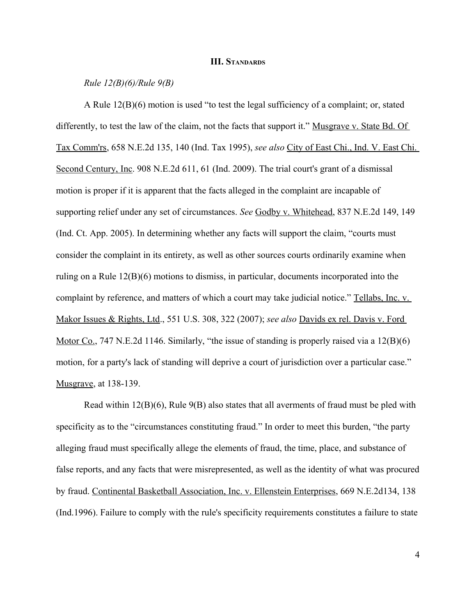#### **III. STANDARDS**

### *Rule 12(B)(6)/Rule 9(B)*

A Rule 12(B)(6) motion is used "to test the legal sufficiency of a complaint; or, stated differently, to test the law of the claim, not the facts that support it." Musgrave v. State Bd. Of Tax Comm'rs, 658 N.E.2d 135, 140 (Ind. Tax 1995), *see also* City of East Chi., Ind. V. East Chi. Second Century, Inc. 908 N.E.2d 611, 61 (Ind. 2009). The trial court's grant of a dismissal motion is proper if it is apparent that the facts alleged in the complaint are incapable of supporting relief under any set of circumstances. *See* Godby v. Whitehead, 837 N.E.2d 149, 149 (Ind. Ct. App. 2005). In determining whether any facts will support the claim, "courts must consider the complaint in its entirety, as well as other sources courts ordinarily examine when ruling on a Rule 12(B)(6) motions to dismiss, in particular, documents incorporated into the complaint by reference, and matters of which a court may take judicial notice." Tellabs, Inc. v. Makor Issues & Rights, Ltd., 551 U.S. 308, 322 (2007); *see also* Davids ex rel. Davis v. Ford Motor Co., 747 N.E.2d 1146. Similarly, "the issue of standing is properly raised via a 12(B)(6) motion, for a party's lack of standing will deprive a court of jurisdiction over a particular case." Musgrave, at 138-139.

Read within  $12(B)(6)$ , Rule  $9(B)$  also states that all averments of fraud must be pled with specificity as to the "circumstances constituting fraud." In order to meet this burden, "the party alleging fraud must specifically allege the elements of fraud, the time, place, and substance of false reports, and any facts that were misrepresented, as well as the identity of what was procured by fraud. Continental Basketball Association, Inc. v. Ellenstein Enterprises, 669 N.E.2d134, 138 (Ind.1996). Failure to comply with the rule's specificity requirements constitutes a failure to state

4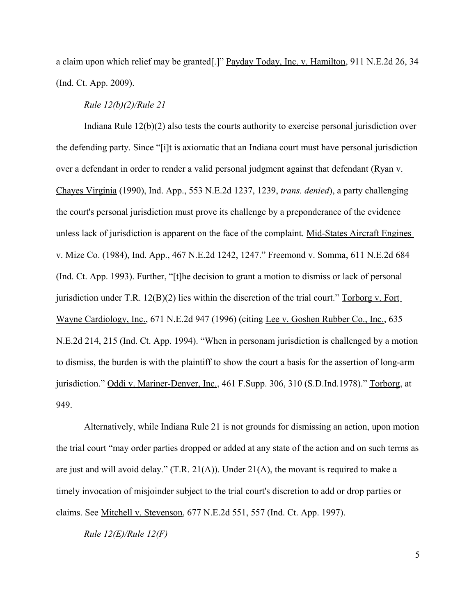a claim upon which relief may be granted[.]" Payday Today, Inc. v. Hamilton, 911 N.E.2d 26, 34 (Ind. Ct. App. 2009).

### *Rule 12(b)(2)/Rule 21*

Indiana Rule 12(b)(2) also tests the courts authority to exercise personal jurisdiction over the defending party. Since "[i]t is axiomatic that an Indiana court must have personal jurisdiction over a defendant in order to render a valid personal judgment against that defendant (Ryan v. Chayes Virginia (1990), Ind. App., 553 N.E.2d 1237, 1239, *trans. denied*), a party challenging the court's personal jurisdiction must prove its challenge by a preponderance of the evidence unless lack of jurisdiction is apparent on the face of the complaint. Mid-States Aircraft Engines v. Mize Co. (1984), Ind. App., 467 N.E.2d 1242, 1247." Freemond v. Somma, 611 N.E.2d 684 (Ind. Ct. App. 1993). Further, "[t]he decision to grant a motion to dismiss or lack of personal jurisdiction under T.R.  $12(B)(2)$  lies within the discretion of the trial court." Torborg v. Fort Wayne Cardiology, Inc., 671 N.E.2d 947 (1996) (citing Lee v. Goshen Rubber Co., Inc., 635 N.E.2d 214, 215 (Ind. Ct. App. 1994). "When in personam jurisdiction is challenged by a motion to dismiss, the burden is with the plaintiff to show the court a basis for the assertion of long-arm jurisdiction." Oddi v. Mariner-Denver, Inc., 461 F.Supp. 306, 310 (S.D.Ind.1978)." Torborg, at 949.

Alternatively, while Indiana Rule 21 is not grounds for dismissing an action, upon motion the trial court "may order parties dropped or added at any state of the action and on such terms as are just and will avoid delay."  $(T.R. 21(A))$ . Under  $21(A)$ , the movant is required to make a timely invocation of misjoinder subject to the trial court's discretion to add or drop parties or claims. See Mitchell v. Stevenson, 677 N.E.2d 551, 557 (Ind. Ct. App. 1997).

*Rule 12(E)/Rule 12(F)*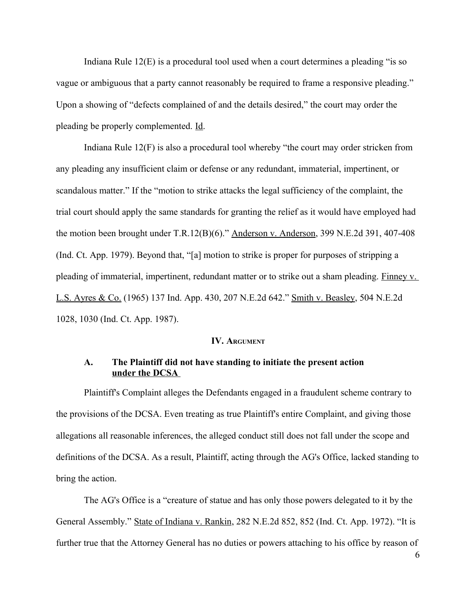Indiana Rule 12(E) is a procedural tool used when a court determines a pleading "is so vague or ambiguous that a party cannot reasonably be required to frame a responsive pleading." Upon a showing of "defects complained of and the details desired," the court may order the pleading be properly complemented. Id.

Indiana Rule 12(F) is also a procedural tool whereby "the court may order stricken from any pleading any insufficient claim or defense or any redundant, immaterial, impertinent, or scandalous matter." If the "motion to strike attacks the legal sufficiency of the complaint, the trial court should apply the same standards for granting the relief as it would have employed had the motion been brought under T.R.12(B)(6)." Anderson v. Anderson, 399 N.E.2d 391, 407-408 (Ind. Ct. App. 1979). Beyond that, "[a] motion to strike is proper for purposes of stripping a pleading of immaterial, impertinent, redundant matter or to strike out a sham pleading. Finney v. L.S. Ayres & Co. (1965) 137 Ind. App. 430, 207 N.E.2d 642." Smith v. Beasley, 504 N.E.2d 1028, 1030 (Ind. Ct. App. 1987).

#### **IV. ARGUMENT**

# **A. The Plaintiff did not have standing to initiate the present action under the DCSA**

Plaintiff's Complaint alleges the Defendants engaged in a fraudulent scheme contrary to the provisions of the DCSA. Even treating as true Plaintiff's entire Complaint, and giving those allegations all reasonable inferences, the alleged conduct still does not fall under the scope and definitions of the DCSA. As a result, Plaintiff, acting through the AG's Office, lacked standing to bring the action.

The AG's Office is a "creature of statue and has only those powers delegated to it by the General Assembly." State of Indiana v. Rankin, 282 N.E.2d 852, 852 (Ind. Ct. App. 1972). "It is further true that the Attorney General has no duties or powers attaching to his office by reason of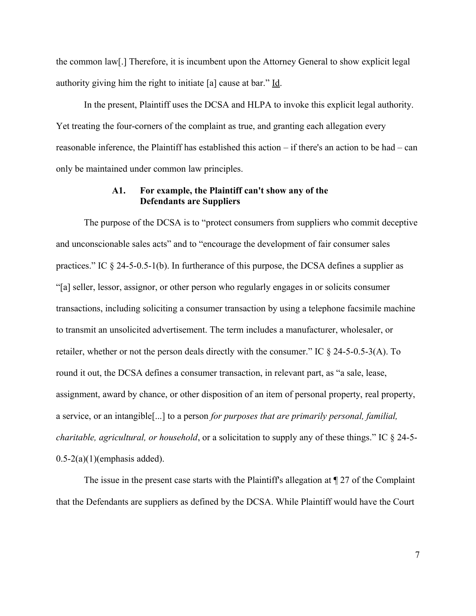the common law[.] Therefore, it is incumbent upon the Attorney General to show explicit legal authority giving him the right to initiate [a] cause at bar." Id.

In the present, Plaintiff uses the DCSA and HLPA to invoke this explicit legal authority. Yet treating the four-corners of the complaint as true, and granting each allegation every reasonable inference, the Plaintiff has established this action – if there's an action to be had – can only be maintained under common law principles.

## **A1. For example, the Plaintiff can't show any of the Defendants are Suppliers**

The purpose of the DCSA is to "protect consumers from suppliers who commit deceptive and unconscionable sales acts" and to "encourage the development of fair consumer sales practices." IC § 24-5-0.5-1(b). In furtherance of this purpose, the DCSA defines a supplier as "[a] seller, lessor, assignor, or other person who regularly engages in or solicits consumer transactions, including soliciting a consumer transaction by using a telephone facsimile machine to transmit an unsolicited advertisement. The term includes a manufacturer, wholesaler, or retailer, whether or not the person deals directly with the consumer." IC § 24-5-0.5-3(A). To round it out, the DCSA defines a consumer transaction, in relevant part, as "a sale, lease, assignment, award by chance, or other disposition of an item of personal property, real property, a service, or an intangible[...] to a person *for purposes that are primarily personal, familial, charitable, agricultural, or household*, or a solicitation to supply any of these things." IC § 24-5-  $0.5-2(a)(1)$ (emphasis added).

The issue in the present case starts with the Plaintiff's allegation at  $\P$  27 of the Complaint that the Defendants are suppliers as defined by the DCSA. While Plaintiff would have the Court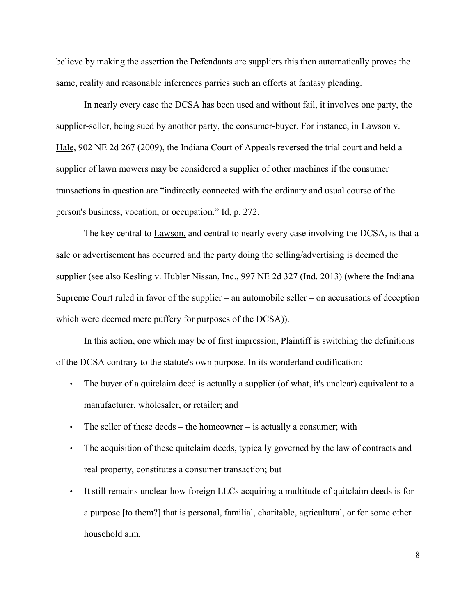believe by making the assertion the Defendants are suppliers this then automatically proves the same, reality and reasonable inferences parries such an efforts at fantasy pleading.

In nearly every case the DCSA has been used and without fail, it involves one party, the supplier-seller, being sued by another party, the consumer-buyer. For instance, in Lawson v. Hale, 902 NE 2d 267 (2009), the Indiana Court of Appeals reversed the trial court and held a supplier of lawn mowers may be considered a supplier of other machines if the consumer transactions in question are "indirectly connected with the ordinary and usual course of the person's business, vocation, or occupation." Id, p. 272.

The key central to Lawson, and central to nearly every case involving the DCSA, is that a sale or advertisement has occurred and the party doing the selling/advertising is deemed the supplier (see also <u>Kesling v. Hubler Nissan, Inc.,</u> 997 NE 2d 327 (Ind. 2013) (where the Indiana Supreme Court ruled in favor of the supplier – an automobile seller – on accusations of deception which were deemed mere puffery for purposes of the DCSA)).

In this action, one which may be of first impression, Plaintiff is switching the definitions of the DCSA contrary to the statute's own purpose. In its wonderland codification:

- The buyer of a quitclaim deed is actually a supplier (of what, it's unclear) equivalent to a manufacturer, wholesaler, or retailer; and
- The seller of these deeds the homeowner is actually a consumer; with
- The acquisition of these quitclaim deeds, typically governed by the law of contracts and real property, constitutes a consumer transaction; but
- It still remains unclear how foreign LLCs acquiring a multitude of quitclaim deeds is for a purpose [to them?] that is personal, familial, charitable, agricultural, or for some other household aim.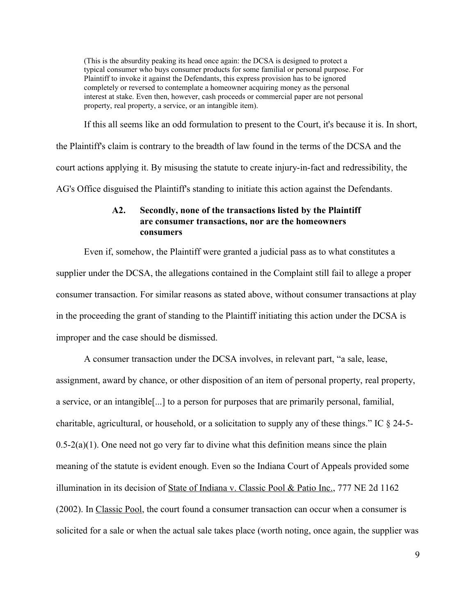(This is the absurdity peaking its head once again: the DCSA is designed to protect a typical consumer who buys consumer products for some familial or personal purpose. For Plaintiff to invoke it against the Defendants, this express provision has to be ignored completely or reversed to contemplate a homeowner acquiring money as the personal interest at stake. Even then, however, cash proceeds or commercial paper are not personal property, real property, a service, or an intangible item).

If this all seems like an odd formulation to present to the Court, it's because it is. In short, the Plaintiff's claim is contrary to the breadth of law found in the terms of the DCSA and the court actions applying it. By misusing the statute to create injury-in-fact and redressibility, the AG's Office disguised the Plaintiff's standing to initiate this action against the Defendants.

# **A2. Secondly, none of the transactions listed by the Plaintiff are consumer transactions, nor are the homeowners consumers**

Even if, somehow, the Plaintiff were granted a judicial pass as to what constitutes a supplier under the DCSA, the allegations contained in the Complaint still fail to allege a proper consumer transaction. For similar reasons as stated above, without consumer transactions at play in the proceeding the grant of standing to the Plaintiff initiating this action under the DCSA is improper and the case should be dismissed.

A consumer transaction under the DCSA involves, in relevant part, "a sale, lease, assignment, award by chance, or other disposition of an item of personal property, real property, a service, or an intangible[...] to a person for purposes that are primarily personal, familial, charitable, agricultural, or household, or a solicitation to supply any of these things." IC § 24-5-  $0.5-2(a)(1)$ . One need not go very far to divine what this definition means since the plain meaning of the statute is evident enough. Even so the Indiana Court of Appeals provided some illumination in its decision of State of Indiana v. Classic Pool & Patio Inc., 777 NE 2d 1162 (2002). In Classic Pool, the court found a consumer transaction can occur when a consumer is solicited for a sale or when the actual sale takes place (worth noting, once again, the supplier was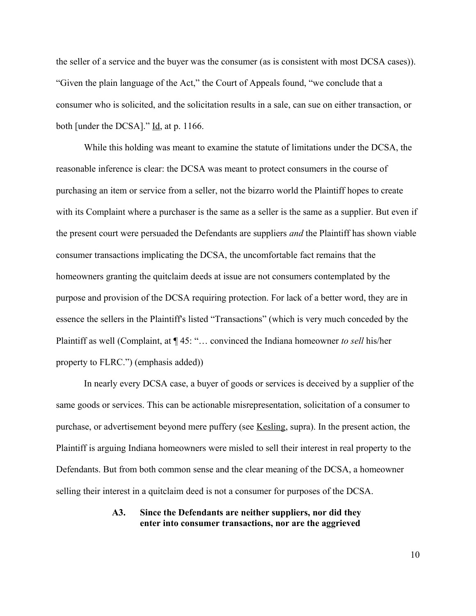the seller of a service and the buyer was the consumer (as is consistent with most DCSA cases)). "Given the plain language of the Act," the Court of Appeals found, "we conclude that a consumer who is solicited, and the solicitation results in a sale, can sue on either transaction, or both [under the DCSA]." Id, at p. 1166.

While this holding was meant to examine the statute of limitations under the DCSA, the reasonable inference is clear: the DCSA was meant to protect consumers in the course of purchasing an item or service from a seller, not the bizarro world the Plaintiff hopes to create with its Complaint where a purchaser is the same as a seller is the same as a supplier. But even if the present court were persuaded the Defendants are suppliers *and* the Plaintiff has shown viable consumer transactions implicating the DCSA, the uncomfortable fact remains that the homeowners granting the quitclaim deeds at issue are not consumers contemplated by the purpose and provision of the DCSA requiring protection. For lack of a better word, they are in essence the sellers in the Plaintiff's listed "Transactions" (which is very much conceded by the Plaintiff as well (Complaint, at ¶ 45: "… convinced the Indiana homeowner *to sell* his/her property to FLRC.") (emphasis added))

In nearly every DCSA case, a buyer of goods or services is deceived by a supplier of the same goods or services. This can be actionable misrepresentation, solicitation of a consumer to purchase, or advertisement beyond mere puffery (see Kesling, supra). In the present action, the Plaintiff is arguing Indiana homeowners were misled to sell their interest in real property to the Defendants. But from both common sense and the clear meaning of the DCSA, a homeowner selling their interest in a quitclaim deed is not a consumer for purposes of the DCSA.

### **A3. Since the Defendants are neither suppliers, nor did they enter into consumer transactions, nor are the aggrieved**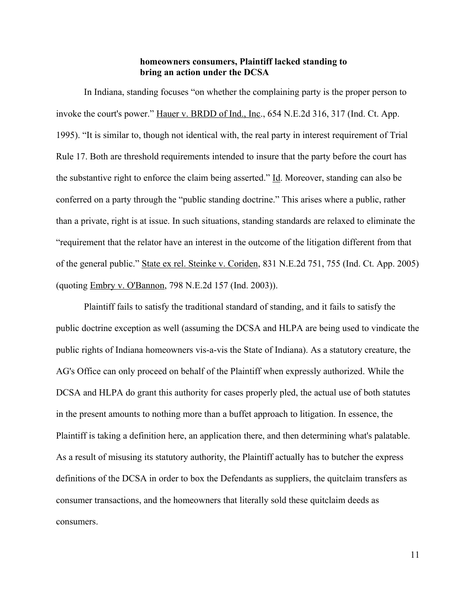### **homeowners consumers, Plaintiff lacked standing to bring an action under the DCSA**

In Indiana, standing focuses "on whether the complaining party is the proper person to invoke the court's power." Hauer v. BRDD of Ind., Inc., 654 N.E.2d 316, 317 (Ind. Ct. App. 1995). "It is similar to, though not identical with, the real party in interest requirement of Trial Rule 17. Both are threshold requirements intended to insure that the party before the court has the substantive right to enforce the claim being asserted." Id. Moreover, standing can also be conferred on a party through the "public standing doctrine." This arises where a public, rather than a private, right is at issue. In such situations, standing standards are relaxed to eliminate the "requirement that the relator have an interest in the outcome of the litigation different from that of the general public." State ex rel. Steinke v. Coriden, 831 N.E.2d 751, 755 (Ind. Ct. App. 2005) (quoting Embry v. O'Bannon, 798 N.E.2d 157 (Ind. 2003)).

Plaintiff fails to satisfy the traditional standard of standing, and it fails to satisfy the public doctrine exception as well (assuming the DCSA and HLPA are being used to vindicate the public rights of Indiana homeowners vis-a-vis the State of Indiana). As a statutory creature, the AG's Office can only proceed on behalf of the Plaintiff when expressly authorized. While the DCSA and HLPA do grant this authority for cases properly pled, the actual use of both statutes in the present amounts to nothing more than a buffet approach to litigation. In essence, the Plaintiff is taking a definition here, an application there, and then determining what's palatable. As a result of misusing its statutory authority, the Plaintiff actually has to butcher the express definitions of the DCSA in order to box the Defendants as suppliers, the quitclaim transfers as consumer transactions, and the homeowners that literally sold these quitclaim deeds as consumers.

11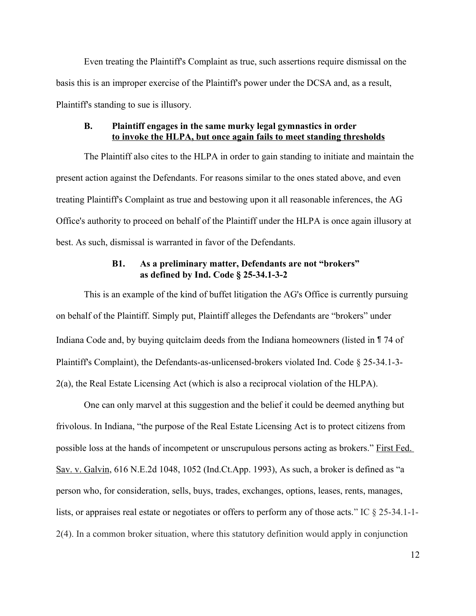Even treating the Plaintiff's Complaint as true, such assertions require dismissal on the basis this is an improper exercise of the Plaintiff's power under the DCSA and, as a result, Plaintiff's standing to sue is illusory.

## **B. Plaintiff engages in the same murky legal gymnastics in order to invoke the HLPA, but once again fails to meet standing thresholds**

The Plaintiff also cites to the HLPA in order to gain standing to initiate and maintain the present action against the Defendants. For reasons similar to the ones stated above, and even treating Plaintiff's Complaint as true and bestowing upon it all reasonable inferences, the AG Office's authority to proceed on behalf of the Plaintiff under the HLPA is once again illusory at best. As such, dismissal is warranted in favor of the Defendants.

### **B1. As a preliminary matter, Defendants are not "brokers" as defined by Ind. Code § 25-34.1-3-2**

This is an example of the kind of buffet litigation the AG's Office is currently pursuing on behalf of the Plaintiff. Simply put, Plaintiff alleges the Defendants are "brokers" under Indiana Code and, by buying quitclaim deeds from the Indiana homeowners (listed in ¶ 74 of Plaintiff's Complaint), the Defendants-as-unlicensed-brokers violated Ind. Code § 25-34.1-3- 2(a), the Real Estate Licensing Act (which is also a reciprocal violation of the HLPA).

One can only marvel at this suggestion and the belief it could be deemed anything but frivolous. In Indiana, "the purpose of the Real Estate Licensing Act is to protect citizens from possible loss at the hands of incompetent or unscrupulous persons acting as brokers." First Fed. Sav. v. Galvin, 616 N.E.2d 1048, 1052 (Ind.Ct.App. 1993), As such, a broker is defined as "a person who, for consideration, sells, buys, trades, exchanges, options, leases, rents, manages, lists, or appraises real estate or negotiates or offers to perform any of those acts." IC § 25-34.1-1- 2(4). In a common broker situation, where this statutory definition would apply in conjunction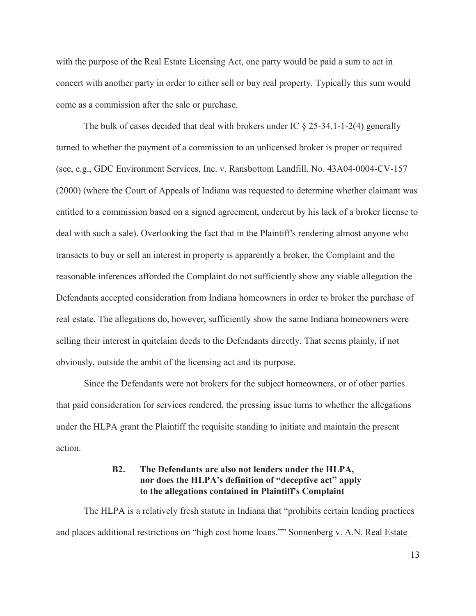with the purpose of the Real Estate Licensing Act, one party would be paid a sum to act in concert with another party in order to either sell or buy real property. Typically this sum would come as a commission after the sale or purchase.

The bulk of cases decided that deal with brokers under IC  $\S$  25-34.1-1-2(4) generally turned to whether the payment of a commission to an unlicensed broker is proper or required (see, e.g., GDC Environment Services, Inc. v. Ransbottom Landfill, No. 43A04-0004-CV-157 (2000) (where the Court of Appeals of Indiana was requested to determine whether claimant was entitled to a commission based on a signed agreement, undercut by his lack of a broker license to deal with such a sale). Overlooking the fact that in the Plaintiff's rendering almost anyone who transacts to buy or sell an interest in property is apparently a broker, the Complaint and the reasonable inferences afforded the Complaint do not sufficiently show any viable allegation the Defendants accepted consideration from Indiana homeowners in order to broker the purchase of real estate. The allegations do, however, sufficiently show the same Indiana homeowners were selling their interest in quitclaim deeds to the Defendants directly. That seems plainly, if not obviously, outside the ambit of the licensing act and its purpose.

Since the Defendants were not brokers for the subject homeowners, or of other parties that paid consideration for services rendered, the pressing issue turns to whether the allegations under the HLPA grant the Plaintiff the requisite standing to initiate and maintain the present action.

## **B2. The Defendants are also not lenders under the HLPA, nor does the HLPA's definition of "deceptive act" apply to the allegations contained in Plaintiff's Complaint**

The HLPA is a relatively fresh statute in Indiana that "prohibits certain lending practices and places additional restrictions on "high cost home loans."" Sonnenberg v. A.N. Real Estate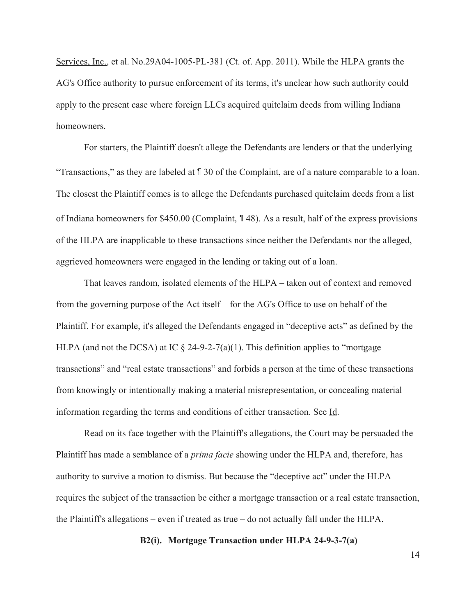Services, Inc., et al. No.29A04-1005-PL-381 (Ct. of. App. 2011). While the HLPA grants the AG's Office authority to pursue enforcement of its terms, it's unclear how such authority could apply to the present case where foreign LLCs acquired quitclaim deeds from willing Indiana homeowners.

For starters, the Plaintiff doesn't allege the Defendants are lenders or that the underlying "Transactions," as they are labeled at ¶ 30 of the Complaint, are of a nature comparable to a loan. The closest the Plaintiff comes is to allege the Defendants purchased quitclaim deeds from a list of Indiana homeowners for \$450.00 (Complaint, ¶ 48). As a result, half of the express provisions of the HLPA are inapplicable to these transactions since neither the Defendants nor the alleged, aggrieved homeowners were engaged in the lending or taking out of a loan.

That leaves random, isolated elements of the HLPA – taken out of context and removed from the governing purpose of the Act itself – for the AG's Office to use on behalf of the Plaintiff. For example, it's alleged the Defendants engaged in "deceptive acts" as defined by the HLPA (and not the DCSA) at IC  $\S$  24-9-2-7(a)(1). This definition applies to "mortgage" transactions" and "real estate transactions" and forbids a person at the time of these transactions from knowingly or intentionally making a material misrepresentation, or concealing material information regarding the terms and conditions of either transaction. See Id.

Read on its face together with the Plaintiff's allegations, the Court may be persuaded the Plaintiff has made a semblance of a *prima facie* showing under the HLPA and, therefore, has authority to survive a motion to dismiss. But because the "deceptive act" under the HLPA requires the subject of the transaction be either a mortgage transaction or a real estate transaction, the Plaintiff's allegations – even if treated as true – do not actually fall under the HLPA.

**B2(i). Mortgage Transaction under HLPA 24-9-3-7(a)**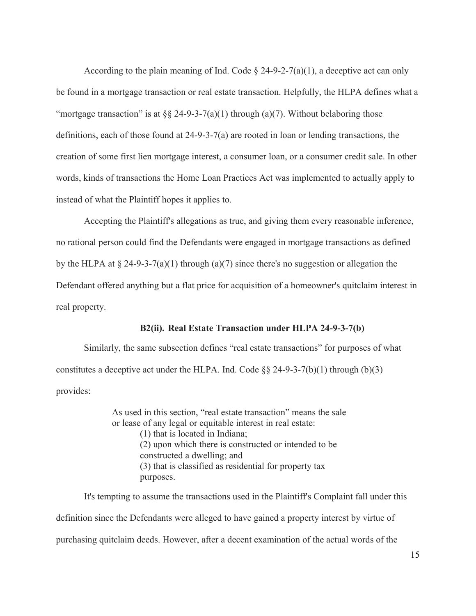According to the plain meaning of Ind. Code  $\S$  24-9-2-7(a)(1), a deceptive act can only be found in a mortgage transaction or real estate transaction. Helpfully, the HLPA defines what a "mortgage transaction" is at  $\S$  24-9-3-7(a)(1) through (a)(7). Without belaboring those definitions, each of those found at  $24-9-3-7(a)$  are rooted in loan or lending transactions, the creation of some first lien mortgage interest, a consumer loan, or a consumer credit sale. In other words, kinds of transactions the Home Loan Practices Act was implemented to actually apply to instead of what the Plaintiff hopes it applies to.

Accepting the Plaintiff's allegations as true, and giving them every reasonable inference, no rational person could find the Defendants were engaged in mortgage transactions as defined by the HLPA at  $\S$  24-9-3-7(a)(1) through (a)(7) since there's no suggestion or allegation the Defendant offered anything but a flat price for acquisition of a homeowner's quitclaim interest in real property.

### **B2(ii). Real Estate Transaction under HLPA 24-9-3-7(b)**

Similarly, the same subsection defines "real estate transactions" for purposes of what constitutes a deceptive act under the HLPA. Ind. Code  $\S$ § 24-9-3-7(b)(1) through (b)(3) provides:

> As used in this section, "real estate transaction" means the sale or lease of any legal or equitable interest in real estate: (1) that is located in Indiana; (2) upon which there is constructed or intended to be constructed a dwelling; and (3) that is classified as residential for property tax purposes.

It's tempting to assume the transactions used in the Plaintiff's Complaint fall under this definition since the Defendants were alleged to have gained a property interest by virtue of purchasing quitclaim deeds. However, after a decent examination of the actual words of the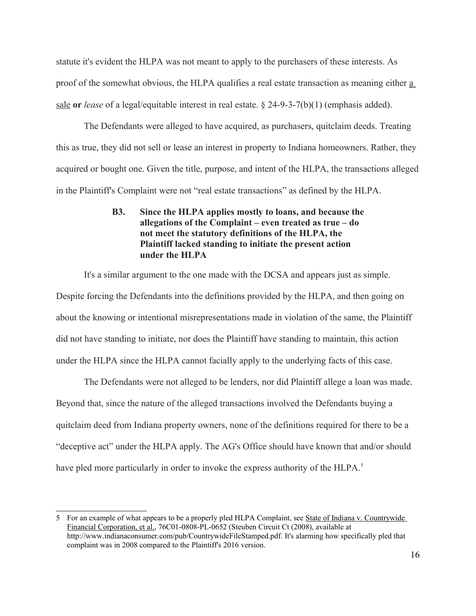statute it's evident the HLPA was not meant to apply to the purchasers of these interests. As proof of the somewhat obvious, the HLPA qualifies a real estate transaction as meaning either a sale **or** *lease* of a legal/equitable interest in real estate. § 24-9-3-7(b)(1) (emphasis added).

The Defendants were alleged to have acquired, as purchasers, quitclaim deeds. Treating this as true, they did not sell or lease an interest in property to Indiana homeowners. Rather, they acquired or bought one. Given the title, purpose, and intent of the HLPA, the transactions alleged in the Plaintiff's Complaint were not "real estate transactions" as defined by the HLPA.

# **B3. Since the HLPA applies mostly to loans, and because the allegations of the Complaint – even treated as true – do not meet the statutory definitions of the HLPA, the Plaintiff lacked standing to initiate the present action under the HLPA**

It's a similar argument to the one made with the DCSA and appears just as simple.

Despite forcing the Defendants into the definitions provided by the HLPA, and then going on about the knowing or intentional misrepresentations made in violation of the same, the Plaintiff did not have standing to initiate, nor does the Plaintiff have standing to maintain, this action under the HLPA since the HLPA cannot facially apply to the underlying facts of this case.

The Defendants were not alleged to be lenders, nor did Plaintiff allege a loan was made. Beyond that, since the nature of the alleged transactions involved the Defendants buying a quitclaim deed from Indiana property owners, none of the definitions required for there to be a "deceptive act" under the HLPA apply. The AG's Office should have known that and/or should have pled more particularly in order to invoke the express authority of the HLPA.<sup>[5](#page-15-0)</sup>

<span id="page-15-0"></span><sup>5</sup> For an example of what appears to be a properly pled HLPA Complaint, see State of Indiana v. Countrywide Financial Corporation, et al., 76C01-0808-PL-0652 (Steuben Circuit Ct (2008), available at http://www.indianaconsumer.com/pub/CountrywideFileStamped.pdf. It's alarming how specifically pled that complaint was in 2008 compared to the Plaintiff's 2016 version.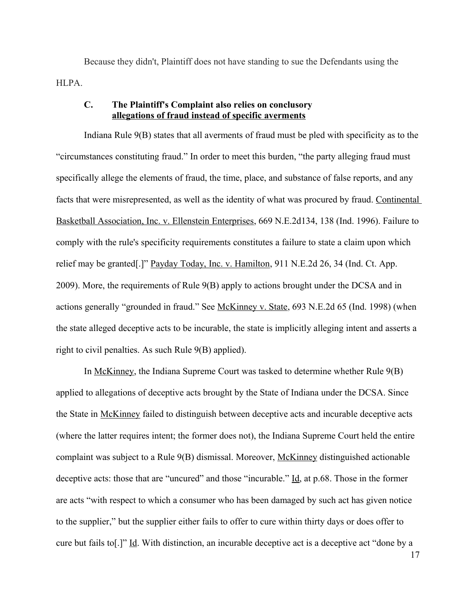Because they didn't, Plaintiff does not have standing to sue the Defendants using the HLPA.

## **C. The Plaintiff's Complaint also relies on conclusory allegations of fraud instead of specific averments**

Indiana Rule 9(B) states that all averments of fraud must be pled with specificity as to the "circumstances constituting fraud." In order to meet this burden, "the party alleging fraud must specifically allege the elements of fraud, the time, place, and substance of false reports, and any facts that were misrepresented, as well as the identity of what was procured by fraud. Continental Basketball Association, Inc. v. Ellenstein Enterprises, 669 N.E.2d134, 138 (Ind. 1996). Failure to comply with the rule's specificity requirements constitutes a failure to state a claim upon which relief may be granted[.]" Payday Today, Inc. v. Hamilton, 911 N.E.2d 26, 34 (Ind. Ct. App. 2009). More, the requirements of Rule 9(B) apply to actions brought under the DCSA and in actions generally "grounded in fraud." See McKinney v. State, 693 N.E.2d 65 (Ind. 1998) (when the state alleged deceptive acts to be incurable, the state is implicitly alleging intent and asserts a right to civil penalties. As such Rule 9(B) applied).

In McKinney, the Indiana Supreme Court was tasked to determine whether Rule 9(B) applied to allegations of deceptive acts brought by the State of Indiana under the DCSA. Since the State in McKinney failed to distinguish between deceptive acts and incurable deceptive acts (where the latter requires intent; the former does not), the Indiana Supreme Court held the entire complaint was subject to a Rule 9(B) dismissal. Moreover, McKinney distinguished actionable deceptive acts: those that are "uncured" and those "incurable." Id, at p.68. Those in the former are acts "with respect to which a consumer who has been damaged by such act has given notice to the supplier," but the supplier either fails to offer to cure within thirty days or does offer to cure but fails to[.]" Id. With distinction, an incurable deceptive act is a deceptive act "done by a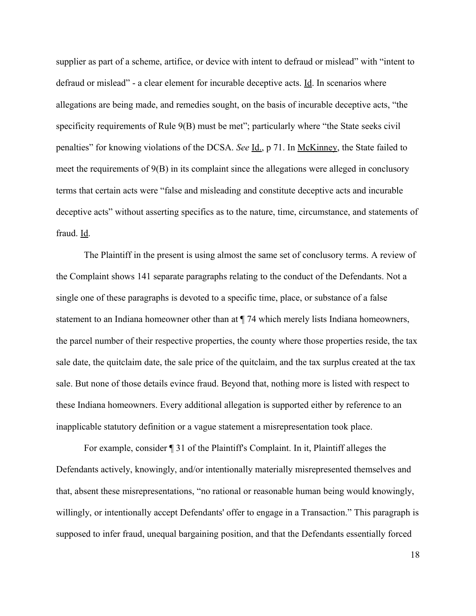supplier as part of a scheme, artifice, or device with intent to defraud or mislead" with "intent to defraud or mislead" - a clear element for incurable deceptive acts. Id. In scenarios where allegations are being made, and remedies sought, on the basis of incurable deceptive acts, "the specificity requirements of Rule 9(B) must be met"; particularly where "the State seeks civil" penalties" for knowing violations of the DCSA. *See* Id., p 71. In McKinney, the State failed to meet the requirements of 9(B) in its complaint since the allegations were alleged in conclusory terms that certain acts were "false and misleading and constitute deceptive acts and incurable deceptive acts" without asserting specifics as to the nature, time, circumstance, and statements of fraud. Id.

The Plaintiff in the present is using almost the same set of conclusory terms. A review of the Complaint shows 141 separate paragraphs relating to the conduct of the Defendants. Not a single one of these paragraphs is devoted to a specific time, place, or substance of a false statement to an Indiana homeowner other than at ¶ 74 which merely lists Indiana homeowners, the parcel number of their respective properties, the county where those properties reside, the tax sale date, the quitclaim date, the sale price of the quitclaim, and the tax surplus created at the tax sale. But none of those details evince fraud. Beyond that, nothing more is listed with respect to these Indiana homeowners. Every additional allegation is supported either by reference to an inapplicable statutory definition or a vague statement a misrepresentation took place.

For example, consider ¶ 31 of the Plaintiff's Complaint. In it, Plaintiff alleges the Defendants actively, knowingly, and/or intentionally materially misrepresented themselves and that, absent these misrepresentations, "no rational or reasonable human being would knowingly, willingly, or intentionally accept Defendants' offer to engage in a Transaction." This paragraph is supposed to infer fraud, unequal bargaining position, and that the Defendants essentially forced

18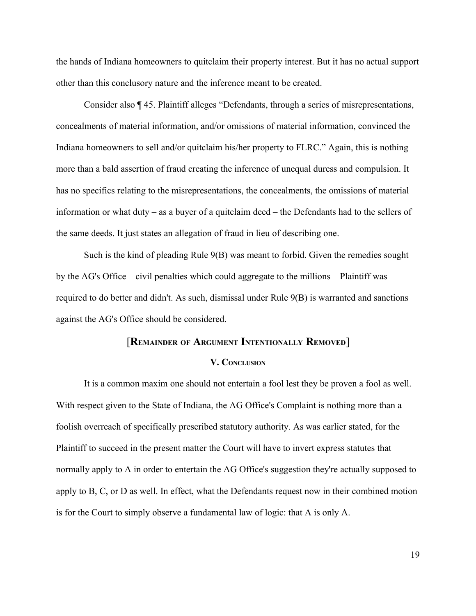the hands of Indiana homeowners to quitclaim their property interest. But it has no actual support other than this conclusory nature and the inference meant to be created.

Consider also ¶ 45. Plaintiff alleges "Defendants, through a series of misrepresentations, concealments of material information, and/or omissions of material information, convinced the Indiana homeowners to sell and/or quitclaim his/her property to FLRC." Again, this is nothing more than a bald assertion of fraud creating the inference of unequal duress and compulsion. It has no specifics relating to the misrepresentations, the concealments, the omissions of material information or what duty – as a buyer of a quitclaim deed – the Defendants had to the sellers of the same deeds. It just states an allegation of fraud in lieu of describing one.

Such is the kind of pleading Rule 9(B) was meant to forbid. Given the remedies sought by the AG's Office – civil penalties which could aggregate to the millions – Plaintiff was required to do better and didn't. As such, dismissal under Rule 9(B) is warranted and sanctions against the AG's Office should be considered.

### [**REMAINDER OF ARGUMENT INTENTIONALLY REMOVED**]

#### **V. CONCLUSION**

It is a common maxim one should not entertain a fool lest they be proven a fool as well. With respect given to the State of Indiana, the AG Office's Complaint is nothing more than a foolish overreach of specifically prescribed statutory authority. As was earlier stated, for the Plaintiff to succeed in the present matter the Court will have to invert express statutes that normally apply to A in order to entertain the AG Office's suggestion they're actually supposed to apply to B, C, or D as well. In effect, what the Defendants request now in their combined motion is for the Court to simply observe a fundamental law of logic: that A is only A.